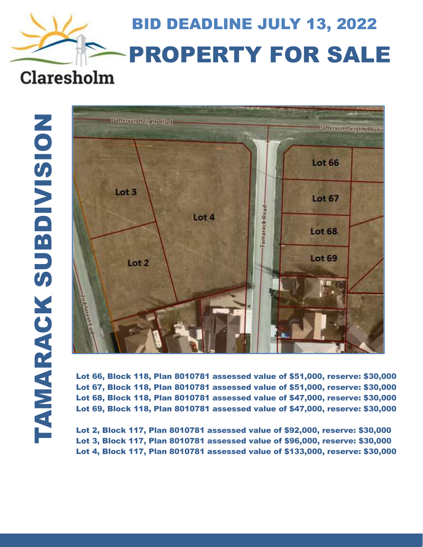# BID DEADLINE JULY 13, 2022 PROPERTY FOR SALE Claresholm



Lot 66, Block 118, Plan 8010781 assessed value of \$51,000, reserve: \$30,000 Lot 67, Block 118, Plan 8010781 assessed value of \$51,000, reserve: \$30,000 Lot 68, Block 118, Plan 8010781 assessed value of \$47,000, reserve: \$30,000 Lot 69, Block 118, Plan 8010781 assessed value of \$47,000, reserve: \$30,000

Lot 2, Block 117, Plan 8010781 assessed value of \$92,000, reserve: \$30,000 Lot 3, Block 117, Plan 8010781 assessed value of \$96,000, reserve: \$30,000 Lot 4, Block 117, Plan 8010781 assessed value of \$133,000, reserve: \$30,000

 $\overline{a}$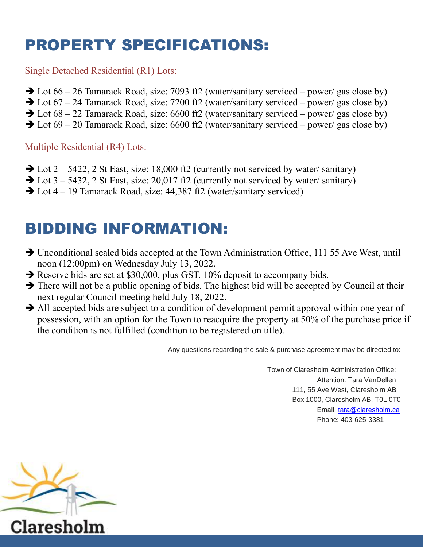## PROPERTY SPECIFICATIONS:

#### Single Detached Residential (R1) Lots:

- $\rightarrow$  Lot 66 26 Tamarack Road, size: 7093 ft2 (water/sanitary serviced power/ gas close by)
- $\rightarrow$  Lot 67 24 Tamarack Road, size: 7200 ft2 (water/sanitary serviced power/ gas close by)
- $\rightarrow$  Lot 68 22 Tamarack Road, size: 6600 ft2 (water/sanitary serviced power/ gas close by)
- $\rightarrow$  Lot 69 20 Tamarack Road, size: 6600 ft2 (water/sanitary serviced power/ gas close by)

#### Multiple Residential (R4) Lots:

- $\rightarrow$  Lot 2 5422, 2 St East, size: 18,000 ft2 (currently not serviced by water/ sanitary)
- $\rightarrow$  Lot 3 5432, 2 St East, size: 20,017 ft2 (currently not serviced by water/ sanitary)
- ➔ Lot 4 19 Tamarack Road, size: 44,387 ft2 (water/sanitary serviced)

### BIDDING INFORMATION:

- ➔ Unconditional sealed bids accepted at the Town Administration Office, 111 55 Ave West, until noon (12:00pm) on Wednesday July 13, 2022.
- ➔ Reserve bids are set at \$30,000, plus GST. 10% deposit to accompany bids.
- **→** There will not be a public opening of bids. The highest bid will be accepted by Council at their next regular Council meeting held July 18, 2022.
- → All accepted bids are subject to a condition of development permit approval within one year of possession, with an option for the Town to reacquire the property at 50% of the purchase price if the condition is not fulfilled (condition to be registered on title).

Any questions regarding the sale & purchase agreement may be directed to:

Town of Claresholm Administration Office: Attention: Tara VanDellen 111, 55 Ave West, Claresholm AB Box 1000, Claresholm AB, T0L 0T0 Email: [tara@claresholm.ca](mailto:tara@claresholm.ca) Phone: 403-625-3381